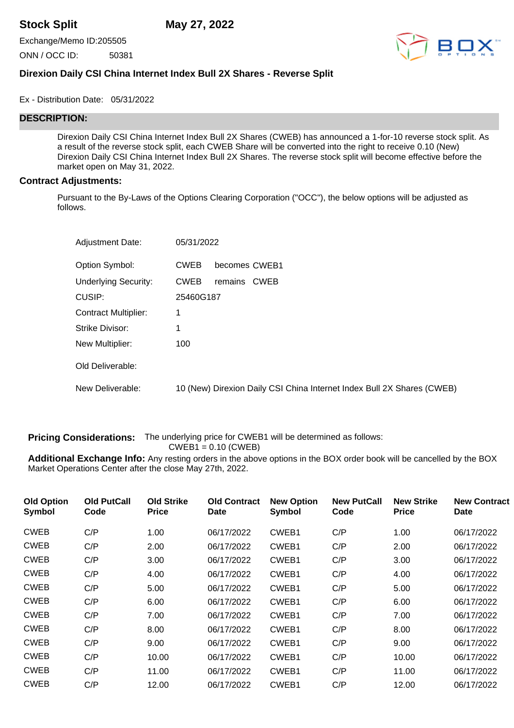**Stock Split May 27, 2022**

Exchange/Memo ID:205505

ONN / OCC ID: 50381



## **Direxion Daily CSI China Internet Index Bull 2X Shares - Reverse Split**

Ex - Distribution Date: 05/31/2022

## **DESCRIPTION:**

Direxion Daily CSI China Internet Index Bull 2X Shares (CWEB) has announced a 1-for-10 reverse stock split. As a result of the reverse stock split, each CWEB Share will be converted into the right to receive 0.10 (New) Direxion Daily CSI China Internet Index Bull 2X Shares. The reverse stock split will become effective before the market open on May 31, 2022.

## **Contract Adjustments:**

Pursuant to the By-Laws of the Options Clearing Corporation ("OCC"), the below options will be adjusted as follows.

| <b>Adjustment Date:</b>     | 05/31/2022                                                             |
|-----------------------------|------------------------------------------------------------------------|
| Option Symbol:              | <b>CWEB</b><br>becomes CWEB1                                           |
| <b>Underlying Security:</b> | <b>CWEB</b><br><b>CWEB</b><br>remains                                  |
| CUSIP:                      | 25460G187                                                              |
| <b>Contract Multiplier:</b> | 1                                                                      |
| Strike Divisor:             | 1                                                                      |
| New Multiplier:             | 100                                                                    |
| Old Deliverable:            |                                                                        |
| New Deliverable:            | 10 (New) Direxion Daily CSI China Internet Index Bull 2X Shares (CWEB) |

**Pricing Considerations:** The underlying price for CWEB1 will be determined as follows:

CWEB1 = 0.10 (CWEB)

**Additional Exchange Info:** Any resting orders in the above options in the BOX order book will be cancelled by the BOX Market Operations Center after the close May 27th, 2022.

| <b>Old Option</b><br>Symbol | <b>Old PutCall</b><br>Code | <b>Old Strike</b><br><b>Price</b> | <b>Old Contract</b><br><b>Date</b> | <b>New Option</b><br>Symbol | <b>New PutCall</b><br>Code | <b>New Strike</b><br><b>Price</b> | <b>New Contract</b><br><b>Date</b> |
|-----------------------------|----------------------------|-----------------------------------|------------------------------------|-----------------------------|----------------------------|-----------------------------------|------------------------------------|
| <b>CWEB</b>                 | C/P                        | 1.00                              | 06/17/2022                         | CWEB1                       | C/P                        | 1.00                              | 06/17/2022                         |
| <b>CWEB</b>                 | C/P                        | 2.00                              | 06/17/2022                         | CWEB1                       | C/P                        | 2.00                              | 06/17/2022                         |
| <b>CWEB</b>                 | C/P                        | 3.00                              | 06/17/2022                         | CWEB1                       | C/P                        | 3.00                              | 06/17/2022                         |
| <b>CWEB</b>                 | C/P                        | 4.00                              | 06/17/2022                         | CWEB1                       | C/P                        | 4.00                              | 06/17/2022                         |
| <b>CWEB</b>                 | C/P                        | 5.00                              | 06/17/2022                         | CWEB1                       | C/P                        | 5.00                              | 06/17/2022                         |
| <b>CWEB</b>                 | C/P                        | 6.00                              | 06/17/2022                         | CWEB1                       | C/P                        | 6.00                              | 06/17/2022                         |
| <b>CWEB</b>                 | C/P                        | 7.00                              | 06/17/2022                         | CWEB1                       | C/P                        | 7.00                              | 06/17/2022                         |
| <b>CWEB</b>                 | C/P                        | 8.00                              | 06/17/2022                         | CWEB1                       | C/P                        | 8.00                              | 06/17/2022                         |
| <b>CWEB</b>                 | C/P                        | 9.00                              | 06/17/2022                         | CWEB1                       | C/P                        | 9.00                              | 06/17/2022                         |
| <b>CWEB</b>                 | C/P                        | 10.00                             | 06/17/2022                         | CWEB1                       | C/P                        | 10.00                             | 06/17/2022                         |
| <b>CWEB</b>                 | C/P                        | 11.00                             | 06/17/2022                         | CWEB1                       | C/P                        | 11.00                             | 06/17/2022                         |
| <b>CWEB</b>                 | C/P                        | 12.00                             | 06/17/2022                         | CWEB1                       | C/P                        | 12.00                             | 06/17/2022                         |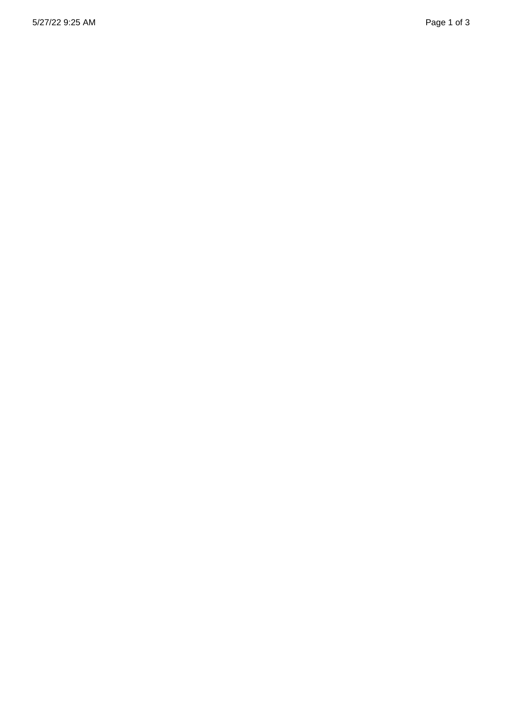5/27/22 9:25 AM Page 1 of 3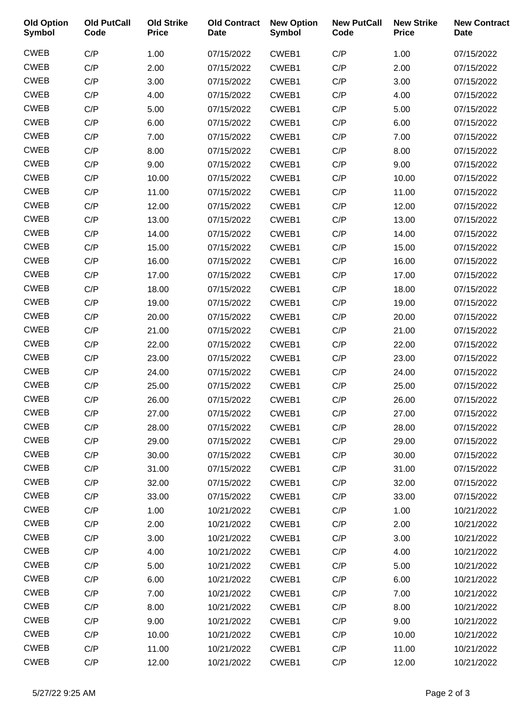| <b>Old Option</b><br><b>Symbol</b> | <b>Old PutCall</b><br>Code | <b>Old Strike</b><br><b>Price</b> | <b>Old Contract</b><br><b>Date</b> | <b>New Option</b><br>Symbol | <b>New PutCall</b><br>Code | <b>New Strike</b><br><b>Price</b> | <b>New Contract</b><br><b>Date</b> |
|------------------------------------|----------------------------|-----------------------------------|------------------------------------|-----------------------------|----------------------------|-----------------------------------|------------------------------------|
| <b>CWEB</b>                        | C/P                        | 1.00                              | 07/15/2022                         | CWEB1                       | C/P                        | 1.00                              | 07/15/2022                         |
| <b>CWEB</b>                        | C/P                        | 2.00                              | 07/15/2022                         | CWEB1                       | C/P                        | 2.00                              | 07/15/2022                         |
| <b>CWEB</b>                        | C/P                        | 3.00                              | 07/15/2022                         | CWEB1                       | C/P                        | 3.00                              | 07/15/2022                         |
| <b>CWEB</b>                        | C/P                        | 4.00                              | 07/15/2022                         | CWEB1                       | C/P                        | 4.00                              | 07/15/2022                         |
| <b>CWEB</b>                        | C/P                        | 5.00                              | 07/15/2022                         | CWEB1                       | C/P                        | 5.00                              | 07/15/2022                         |
| <b>CWEB</b>                        | C/P                        | 6.00                              | 07/15/2022                         | CWEB1                       | C/P                        | 6.00                              | 07/15/2022                         |
| <b>CWEB</b>                        | C/P                        | 7.00                              | 07/15/2022                         | CWEB1                       | C/P                        | 7.00                              | 07/15/2022                         |
| <b>CWEB</b>                        | C/P                        | 8.00                              | 07/15/2022                         | CWEB1                       | C/P                        | 8.00                              | 07/15/2022                         |
| <b>CWEB</b>                        | C/P                        | 9.00                              | 07/15/2022                         | CWEB1                       | C/P                        | 9.00                              | 07/15/2022                         |
| <b>CWEB</b>                        | C/P                        | 10.00                             | 07/15/2022                         | CWEB1                       | C/P                        | 10.00                             | 07/15/2022                         |
| <b>CWEB</b>                        | C/P                        | 11.00                             | 07/15/2022                         | CWEB1                       | C/P                        | 11.00                             | 07/15/2022                         |
| <b>CWEB</b>                        | C/P                        | 12.00                             | 07/15/2022                         | CWEB1                       | C/P                        | 12.00                             | 07/15/2022                         |
| <b>CWEB</b>                        | C/P                        | 13.00                             | 07/15/2022                         | CWEB1                       | C/P                        | 13.00                             | 07/15/2022                         |
| <b>CWEB</b>                        | C/P                        | 14.00                             | 07/15/2022                         | CWEB1                       | C/P                        | 14.00                             | 07/15/2022                         |
| <b>CWEB</b>                        | C/P                        | 15.00                             | 07/15/2022                         | CWEB1                       | C/P                        | 15.00                             | 07/15/2022                         |
| <b>CWEB</b>                        | C/P                        | 16.00                             | 07/15/2022                         | CWEB1                       | C/P                        | 16.00                             | 07/15/2022                         |
| <b>CWEB</b>                        | C/P                        | 17.00                             | 07/15/2022                         | CWEB1                       | C/P                        | 17.00                             | 07/15/2022                         |
| <b>CWEB</b>                        | C/P                        | 18.00                             | 07/15/2022                         | CWEB1                       | C/P                        | 18.00                             | 07/15/2022                         |
| <b>CWEB</b>                        | C/P                        | 19.00                             | 07/15/2022                         | CWEB1                       | C/P                        | 19.00                             | 07/15/2022                         |
| <b>CWEB</b>                        | C/P                        | 20.00                             | 07/15/2022                         | CWEB1                       | C/P                        | 20.00                             | 07/15/2022                         |
| <b>CWEB</b>                        | C/P                        | 21.00                             | 07/15/2022                         | CWEB1                       | C/P                        | 21.00                             | 07/15/2022                         |
| <b>CWEB</b>                        | C/P                        | 22.00                             | 07/15/2022                         | CWEB1                       | C/P                        | 22.00                             | 07/15/2022                         |
| <b>CWEB</b>                        | C/P                        | 23.00                             | 07/15/2022                         | CWEB1                       | C/P                        | 23.00                             | 07/15/2022                         |
| <b>CWEB</b>                        | C/P                        | 24.00                             | 07/15/2022                         | CWEB1                       | C/P                        | 24.00                             | 07/15/2022                         |
| <b>CWEB</b>                        | C/P                        | 25.00                             | 07/15/2022                         | CWEB1                       | C/P                        | 25.00                             | 07/15/2022                         |
| <b>CWEB</b>                        | C/P                        | 26.00                             | 07/15/2022                         | CWEB1                       | C/P                        | 26.00                             | 07/15/2022                         |
| <b>CWEB</b>                        | C/P                        | 27.00                             | 07/15/2022                         | CWEB1                       | C/P                        | 27.00                             | 07/15/2022                         |
| <b>CWEB</b>                        | C/P                        | 28.00                             | 07/15/2022                         | CWEB1                       | C/P                        | 28.00                             | 07/15/2022                         |
| <b>CWEB</b>                        | C/P                        | 29.00                             | 07/15/2022                         | CWEB1                       | C/P                        | 29.00                             | 07/15/2022                         |
| <b>CWEB</b>                        | C/P                        | 30.00                             | 07/15/2022                         | CWEB1                       | C/P                        | 30.00                             | 07/15/2022                         |
| <b>CWEB</b>                        | C/P                        | 31.00                             | 07/15/2022                         | CWEB1                       | C/P                        | 31.00                             | 07/15/2022                         |
| <b>CWEB</b>                        | C/P                        | 32.00                             | 07/15/2022                         | CWEB1                       | C/P                        | 32.00                             | 07/15/2022                         |
| <b>CWEB</b>                        | C/P                        | 33.00                             | 07/15/2022                         | CWEB1                       | C/P                        | 33.00                             | 07/15/2022                         |
| <b>CWEB</b>                        | C/P                        | 1.00                              | 10/21/2022                         | CWEB1                       | C/P                        | 1.00                              | 10/21/2022                         |
| <b>CWEB</b>                        | C/P                        | 2.00                              | 10/21/2022                         | CWEB1                       | C/P                        | 2.00                              | 10/21/2022                         |
| <b>CWEB</b>                        | C/P                        | 3.00                              | 10/21/2022                         | CWEB1                       | C/P                        | 3.00                              | 10/21/2022                         |
| <b>CWEB</b>                        | C/P                        | 4.00                              | 10/21/2022                         | CWEB1                       | C/P                        | 4.00                              | 10/21/2022                         |
| <b>CWEB</b>                        | C/P                        | 5.00                              | 10/21/2022                         | CWEB1                       | C/P                        | 5.00                              | 10/21/2022                         |
| <b>CWEB</b>                        | C/P                        | 6.00                              | 10/21/2022                         | CWEB1                       | C/P                        | 6.00                              | 10/21/2022                         |
| <b>CWEB</b>                        | C/P                        | 7.00                              | 10/21/2022                         | CWEB1                       | C/P                        | 7.00                              | 10/21/2022                         |
| <b>CWEB</b>                        | C/P                        | 8.00                              | 10/21/2022                         | CWEB1                       | C/P                        | 8.00                              | 10/21/2022                         |
| <b>CWEB</b>                        | C/P                        | 9.00                              | 10/21/2022                         | CWEB1                       | C/P                        | 9.00                              | 10/21/2022                         |
| <b>CWEB</b>                        | C/P                        | 10.00                             | 10/21/2022                         | CWEB1                       | C/P                        | 10.00                             | 10/21/2022                         |
| <b>CWEB</b>                        | C/P                        | 11.00                             | 10/21/2022                         | CWEB1                       | C/P                        | 11.00                             | 10/21/2022                         |
| <b>CWEB</b>                        | C/P                        | 12.00                             | 10/21/2022                         | CWEB1                       | C/P                        | 12.00                             | 10/21/2022                         |